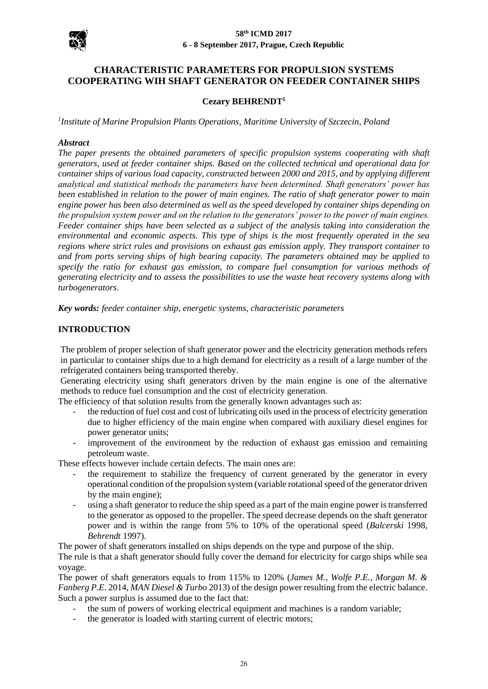

# **CHARACTERISTIC PARAMETERS FOR PROPULSION SYSTEMS COOPERATING WIH SHAFT GENERATOR ON FEEDER CONTAINER SHIPS**

### **Cezary BEHRENDT<sup>1</sup>**

*1 Institute of Marine Propulsion Plants Operations, Maritime University of Szczecin, Poland*

#### *Abstract*

*The paper presents the obtained parameters of specific propulsion systems cooperating with shaft generators, used at feeder container ships. Based on the collected technical and operational data for container ships of various load capacity, constructed between 2000 and 2015, and by applying different analytical and statistical methods the parameters have been determined. Shaft generators' power has been established in relation to the power of main engines. The ratio of shaft generator power to main engine power has been also determined as well as the speed developed by container ships depending on the propulsion system power and on the relation to the generators' power to the power of main engines. Feeder container ships have been selected as a subject of the analysis taking into consideration the environmental and economic aspects. This type of ships is the most frequently operated in the sea regions where strict rules and provisions on exhaust gas emission apply. They transport container to and from ports serving ships of high bearing capacity. The parameters obtained may be applied to specify the ratio for exhaust gas emission, to compare fuel consumption for various methods of generating electricity and to assess the possibilities to use the waste heat recovery systems along with turbogenerators.* 

*Key words: feeder container ship, energetic systems, characteristic parameters*

### **INTRODUCTION**

The problem of proper selection of shaft generator power and the electricity generation methods refers in particular to container ships due to a high demand for electricity as a result of a large number of the refrigerated containers being transported thereby.

Generating electricity using shaft generators driven by the main engine is one of the alternative methods to reduce fuel consumption and the cost of electricity generation.

The efficiency of that solution results from the generally known advantages such as:

- the reduction of fuel cost and cost of lubricating oils used in the process of electricity generation due to higher efficiency of the main engine when compared with auxiliary diesel engines for power generator units;
- improvement of the environment by the reduction of exhaust gas emission and remaining petroleum waste.

These effects however include certain defects. The main ones are:

- the requirement to stabilize the frequency of current generated by the generator in every operational condition of the propulsion system (variable rotational speed of the generator driven by the main engine);
- using a shaft generator to reduce the ship speed as a part of the main engine power is transferred to the generator as opposed to the propeller. The speed decrease depends on the shaft generator power and is within the range from 5% to 10% of the operational speed (*Balcerski* 1998, *Behrendt* 1997).

The power of shaft generators installed on ships depends on the type and purpose of the ship.

The rule is that a shaft generator should fully cover the demand for electricity for cargo ships while sea voyage.

The power of shaft generators equals to from 115% to 120% (*James M., Wolfe P.E., Morgan M. & Fanberg P.E.* 2014, *MAN Diesel & Turbo* 2013) of the design power resulting from the electric balance. Such a power surplus is assumed due to the fact that:

- the sum of powers of working electrical equipment and machines is a random variable;
- the generator is loaded with starting current of electric motors;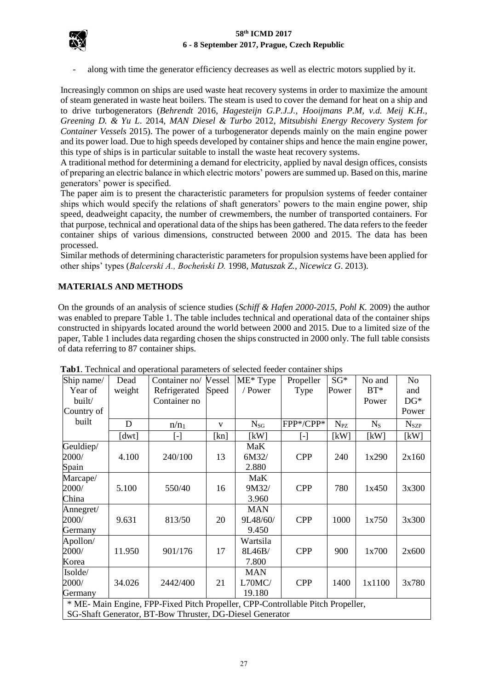

along with time the generator efficiency decreases as well as electric motors supplied by it.

Increasingly common on ships are used waste heat recovery systems in order to maximize the amount of steam generated in waste heat boilers. The steam is used to cover the demand for heat on a ship and to drive turbogenerators (*Behrendt* 2016, *Hagesteijn G.P.J.J., Hooijmans P.M, v.d. Meij K.H., Greening D. & Yu L*. 2014, *MAN Diesel & Turbo* 2012, *Mitsubishi Energy Recovery System for Container Vessels* 2015). The power of a turbogenerator depends mainly on the main engine power and its power load. Due to high speeds developed by container ships and hence the main engine power, this type of ships is in particular suitable to install the waste heat recovery systems.

A traditional method for determining a demand for electricity, applied by naval design offices, consists of preparing an electric balance in which electric motors' powers are summed up. Based on this, marine generators' power is specified.

The paper aim is to present the characteristic parameters for propulsion systems of feeder container ships which would specify the relations of shaft generators' powers to the main engine power, ship speed, deadweight capacity, the number of crewmembers, the number of transported containers. For that purpose, technical and operational data of the ships has been gathered. The data refers to the feeder container ships of various dimensions, constructed between 2000 and 2015. The data has been processed.

Similar methods of determining characteristic parameters for propulsion systems have been applied for other ships' types (*Balcerski A., Bocheński D.* 1998, *Matuszak Z., Nicewicz G*. 2013).

# **MATERIALS AND METHODS**

On the grounds of an analysis of science studies (*Schiff & Hafen 2000-2015*, *Pohl K.* 2009) the author was enabled to prepare Table 1. The table includes technical and operational data of the container ships constructed in shipyards located around the world between 2000 and 2015. Due to a limited size of the paper, Table 1 includes data regarding chosen the ships constructed in 2000 only. The full table consists of data referring to 87 container ships.

| Ship name/                                                                      | Dead   | Container no/ Vessel |              | ME* Type   | Propeller  | $SG*$    | No and      | N <sub>o</sub>   |
|---------------------------------------------------------------------------------|--------|----------------------|--------------|------------|------------|----------|-------------|------------------|
| Year of                                                                         | weight | Refrigerated         | Speed        | / Power    | Type       | Power    | $BT^*$      | and              |
| built/                                                                          |        | Container no         |              |            |            |          | Power       | $DG*$            |
| Country of                                                                      |        |                      |              |            |            |          |             | Power            |
| built                                                                           | D      | $n/n_1$              | $\mathbf{V}$ | $N_{SG}$   | FPP*/CPP*  | $N_{PZ}$ | $N_{\rm S}$ | N <sub>SZP</sub> |
|                                                                                 | [dwt]  | [-]                  | [kn]         | [kW]       | [-]        | [kW]     | [kW]        | [kW]             |
| Geuldiep/                                                                       |        |                      |              | MaK        |            |          |             |                  |
| 2000/                                                                           | 4.100  | 240/100              | 13           | 6M32/      | <b>CPP</b> | 240      | 1x290       | 2x160            |
| Spain                                                                           |        |                      |              | 2.880      |            |          |             |                  |
| Marcape/                                                                        |        |                      |              | MaK        |            |          |             |                  |
| 2000/                                                                           | 5.100  | 550/40               | 16           | 9M32/      | <b>CPP</b> | 780      | 1x450       | 3x300            |
| China                                                                           |        |                      |              | 3.960      |            |          |             |                  |
| Annegret/                                                                       |        |                      |              | <b>MAN</b> |            |          |             |                  |
| 2000/                                                                           | 9.631  | 813/50               | 20           | 9L48/60/   | <b>CPP</b> | 1000     | 1x750       | 3x300            |
| Germany                                                                         |        |                      |              | 9.450      |            |          |             |                  |
| Apollon/                                                                        |        |                      |              | Wartsila   |            |          |             |                  |
| 2000/                                                                           | 11.950 | 901/176              | 17           | 8L46B/     | <b>CPP</b> | 900      | 1x700       | 2x600            |
| Korea                                                                           |        |                      |              | 7.800      |            |          |             |                  |
| Isolde/                                                                         |        |                      |              | <b>MAN</b> |            |          |             |                  |
| 2000/                                                                           | 34.026 | 2442/400             | 21           | L70MC/     | <b>CPP</b> | 1400     | 1x1100      | 3x780            |
| Germany                                                                         |        |                      |              | 19.180     |            |          |             |                  |
| * ME- Main Engine, FPP-Fixed Pitch Propeller, CPP-Controllable Pitch Propeller, |        |                      |              |            |            |          |             |                  |
| SG-Shaft Generator, BT-Bow Thruster, DG-Diesel Generator                        |        |                      |              |            |            |          |             |                  |

**Tab1**. Technical and operational parameters of selected feeder container ships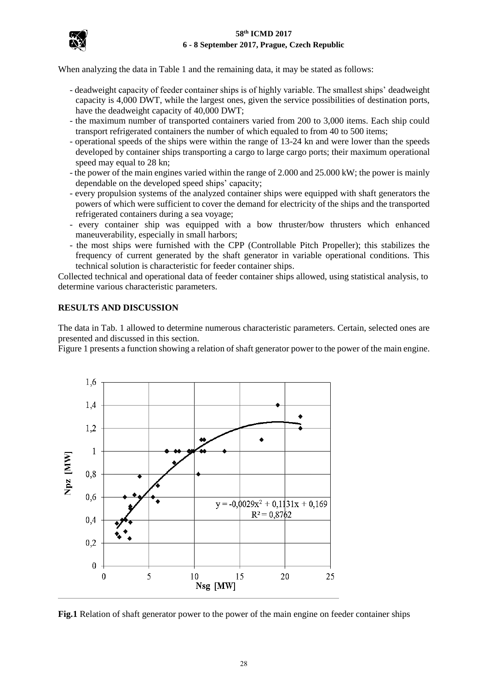

When analyzing the data in Table 1 and the remaining data, it may be stated as follows:

- deadweight capacity of feeder container ships is of highly variable. The smallest ships' deadweight capacity is 4,000 DWT, while the largest ones, given the service possibilities of destination ports, have the deadweight capacity of 40,000 DWT;
- the maximum number of transported containers varied from 200 to 3,000 items. Each ship could transport refrigerated containers the number of which equaled to from 40 to 500 items;
- operational speeds of the ships were within the range of 13-24 kn and were lower than the speeds developed by container ships transporting a cargo to large cargo ports; their maximum operational speed may equal to 28 kn;
- the power of the main engines varied within the range of 2.000 and 25.000 kW; the power is mainly dependable on the developed speed ships' capacity;
- every propulsion systems of the analyzed container ships were equipped with shaft generators the powers of which were sufficient to cover the demand for electricity of the ships and the transported refrigerated containers during a sea voyage;
- every container ship was equipped with a bow thruster/bow thrusters which enhanced maneuverability, especially in small harbors;
- the most ships were furnished with the CPP (Controllable Pitch Propeller); this stabilizes the frequency of current generated by the shaft generator in variable operational conditions. This technical solution is characteristic for feeder container ships.

Collected technical and operational data of feeder container ships allowed, using statistical analysis, to determine various characteristic parameters.

# **RESULTS AND DISCUSSION**

The data in Tab. 1 allowed to determine numerous characteristic parameters. Certain, selected ones are presented and discussed in this section.

Figure 1 presents a function showing a relation of shaft generator power to the power of the main engine.



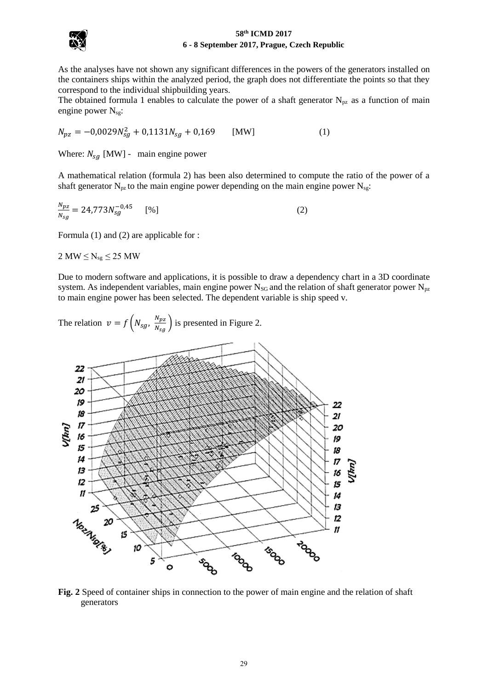

As the analyses have not shown any significant differences in the powers of the generators installed on the containers ships within the analyzed period, the graph does not differentiate the points so that they correspond to the individual shipbuilding years.

The obtained formula 1 enables to calculate the power of a shaft generator  $N_{pz}$  as a function of main engine power  $N_{sg}$ :

$$
N_{pz} = -0.0029N_{sg}^2 + 0.1131N_{sg} + 0.169 \qquad \text{[MW]} \tag{1}
$$

Where:  $N_{sg}$  [MW] - main engine power

A mathematical relation (formula 2) has been also determined to compute the ratio of the power of a shaft generator  $N_{pz}$  to the main engine power depending on the main engine power  $N_{sg}$ :

$$
\frac{N_{pz}}{N_{sg}} = 24,773N_{sg}^{-0.45} \qquad [%]
$$
 (2)

Formula (1) and (2) are applicable for :

 $2 MW \le N_{sg} \le 25 MW$ 

Due to modern software and applications, it is possible to draw a dependency chart in a 3D coordinate system. As independent variables, main engine power  $N_{SG}$  and the relation of shaft generator power  $N_{pz}$ to main engine power has been selected. The dependent variable is ship speed v.



**Fig. 2** Speed of container ships in connection to the power of main engine and the relation of shaft generators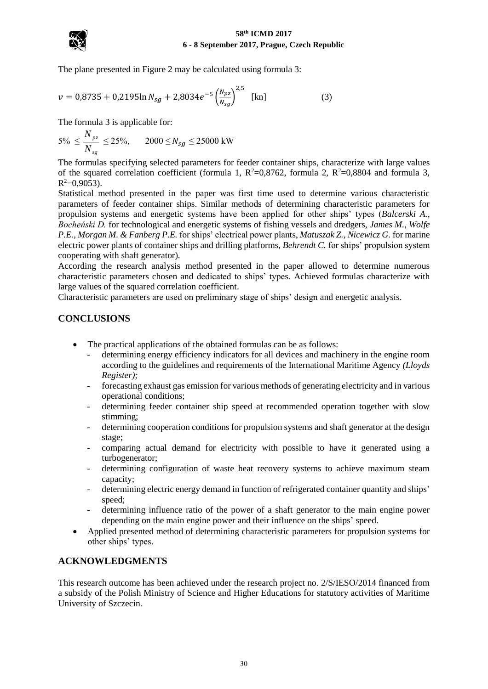

The plane presented in Figure 2 may be calculated using formula 3:

$$
v = 0.8735 + 0.2195 \ln N_{sg} + 2.8034e^{-5} \left(\frac{N_{pz}}{N_{sg}}\right)^{2.5} \text{ [kn]}
$$
 (3)

The formula 3 is applicable for:

$$
5\% \le \frac{N_{pz}}{N_{sg}} \le 25\%, \qquad 2000 \le N_{sg} \le 25000 \text{ kW}
$$

The formulas specifying selected parameters for feeder container ships, characterize with large values of the squared correlation coefficient (formula 1,  $R^2=0.8762$ , formula 2,  $R^2=0.8804$  and formula 3,  $R^2=0,9053$ ).

Statistical method presented in the paper was first time used to determine various characteristic parameters of feeder container ships. Similar methods of determining characteristic parameters for propulsion systems and energetic systems have been applied for other ships' types (*Balcerski A., Bocheński D.* for technological and energetic systems of fishing vessels and dredgers, *James M., Wolfe P.E., Morgan M. & Fanberg P.E.* for ships' electrical power plants, *Matuszak Z., Nicewicz G.* for marine electric power plants of container ships and drilling platforms, *Behrendt C.* for ships' propulsion system cooperating with shaft generator).

According the research analysis method presented in the paper allowed to determine numerous characteristic parameters chosen and dedicated to ships' types. Achieved formulas characterize with large values of the squared correlation coefficient.

Characteristic parameters are used on preliminary stage of ships' design and energetic analysis.

# **CONCLUSIONS**

- The practical applications of the obtained formulas can be as follows:
	- determining energy efficiency indicators for all devices and machinery in the engine room according to the guidelines and requirements of the International Maritime Agency *(Lloyds Register);*
	- forecasting exhaust gas emission for various methods of generating electricity and in various operational conditions;
	- determining feeder container ship speed at recommended operation together with slow stimming;
	- determining cooperation conditions for propulsion systems and shaft generator at the design stage;
	- comparing actual demand for electricity with possible to have it generated using a turbogenerator;
	- determining configuration of waste heat recovery systems to achieve maximum steam capacity;
	- determining electric energy demand in function of refrigerated container quantity and ships' speed;
	- determining influence ratio of the power of a shaft generator to the main engine power depending on the main engine power and their influence on the ships' speed.
- Applied presented method of determining characteristic parameters for propulsion systems for other ships' types.

# **ACKNOWLEDGMENTS**

This research outcome has been achieved under the research project no. 2/S/IESO/2014 financed from a subsidy of the Polish Ministry of Science and Higher Educations for statutory activities of Maritime University of Szczecin.